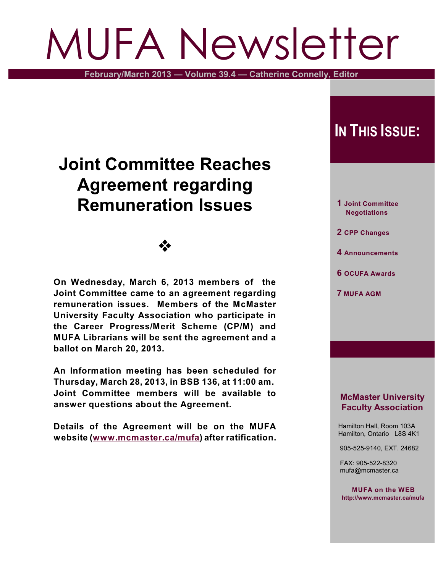# MUFA Newsletter

**February/March 2013 — Volume 39.4 — Catherine Connelly, Editor**

# **Joint Committee Reaches Agreement regarding Remuneration Issues**

## •∑∙

**On Wednesday, March 6, 2013 members of the Joint Committee came to an agreement regarding remuneration issues. Members of the McMaster University Faculty Association who participate in the Career Progress/Merit Scheme (CP/M) and MUFA Librarians will be sent the agreement and a ballot on March 20, 2013.**

**An Information meeting has been scheduled for Thursday, March 28, 2013, in BSB 136, at 11:00 am. Joint Committee members will be available to answer questions about the Agreement.**

**Details of the Agreement will be on the MUFA website [\(www.mcmaster.ca/mufa](http://www.mcmaster.ca/mufa))) after ratification.**

## **IN THIS ISSUE:**

 **1 Joint Committee Negotiations**

 **2 CPP Changes**

- **4 Announcements**
- **6 OCUFA Awards**
- **7 MUFA AGM**

## **McMaster University Faculty Association**

 Hamilton Hall, Room 103A Hamilton, Ontario L8S 4K1

905-525-9140, EXT. 24682

 FAX: 905-522-8320 mufa@mcmaster.ca

**MUFA on the WEB <http://www.mcmaster.ca/mufa>**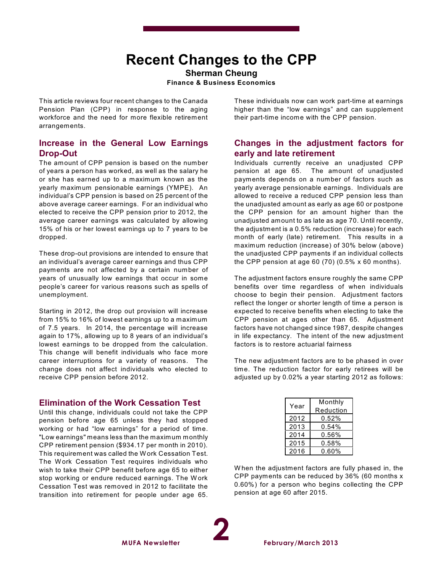## **Recent Changes to the CPP**

**Sherman Cheung Finance & Business Economics**

This article reviews four recent changes to the Canada Pension Plan (CPP) in response to the aging workforce and the need for more flexible retirement arrangements.

#### **Increase in the General Low Earnings Drop-Out**

The amount of CPP pension is based on the number of years a person has worked, as well as the salary he or she has earned up to a maximum known as the yearly maximum pensionable earnings (YMPE). An individual's CPP pension is based on 25 percent of the above average career earnings. For an individual who elected to receive the CPP pension prior to 2012, the average career earnings was calculated by allowing 15% of his or her lowest earnings up to 7 years to be dropped.

These drop-out provisions are intended to ensure that an individual's average career earnings and thus CPP payments are not affected by a certain number of years of unusually low earnings that occur in some people's career for various reasons such as spells of unemployment.

Starting in 2012, the drop out provision will increase from 15% to 16% of lowest earnings up to a maximum of 7.5 years. In 2014, the percentage will increase again to 17%, allowing up to 8 years of an individual's lowest earnings to be dropped from the calculation. This change will benefit individuals who face more career interruptions for a variety of reasons. The change does not affect individuals who elected to receive CPP pension before 2012.

## **Elimination of the Work Cessation Test**

Until this change, individuals could not take the CPP pension before age 65 unless they had stopped working or had "low earnings" for a period of time. "Low earnings" means less than the maximum monthly CPP retirement pension (\$934.17 per month in 2010). This requirement was called the W ork Cessation Test. The Work Cessation Test requires individuals who wish to take their CPP benefit before age 65 to either stop working or endure reduced earnings. The W ork Cessation Test was removed in 2012 to facilitate the transition into retirement for people under age 65.

These individuals now can work part-time at earnings higher than the "low earnings" and can supplement their part-time income with the CPP pension.

### **Changes in the adjustment factors for early and late retirement**

Individuals currently receive an unadjusted CPP pension at age 65. The amount of unadjusted payments depends on a number of factors such as yearly average pensionable earnings. Individuals are allowed to receive a reduced CPP pension less than the unadjusted amount as early as age 60 or postpone the CPP pension for an amount higher than the unadjusted amount to as late as age 70. Until recently, the adjustment is a 0.5% reduction (increase) for each month of early (late) retirement. This results in a maximum reduction (increase) of 30% below (above) the unadjusted CPP payments if an individual collects the CPP pension at age 60  $(70)$   $(0.5\% \times 60 \text{ months})$ .

The adjustment factors ensure roughly the same CPP benefits over time regardless of when individuals choose to begin their pension. Adjustment factors reflect the longer or shorter length of time a person is expected to receive benefits when electing to take the CPP pension at ages other than 65. Adjustment factors have not changed since 1987, despite changes in life expectancy. The intent of the new adjustment factors is to restore actuarial fairness

The new adjustment factors are to be phased in over time. The reduction factor for early retirees will be adjusted up by 0.02% a year starting 2012 as follows:

| Monthly<br>Reduction |
|----------------------|
|                      |
| $0.54\%$             |
| 0.56%                |
| 0.58%                |
| 0.60%                |
|                      |

W hen the adjustment factors are fully phased in, the CPP payments can be reduced by 36% (60 months x 0.60%) for a person who begins collecting the CPP pension at age 60 after 2015.

**2**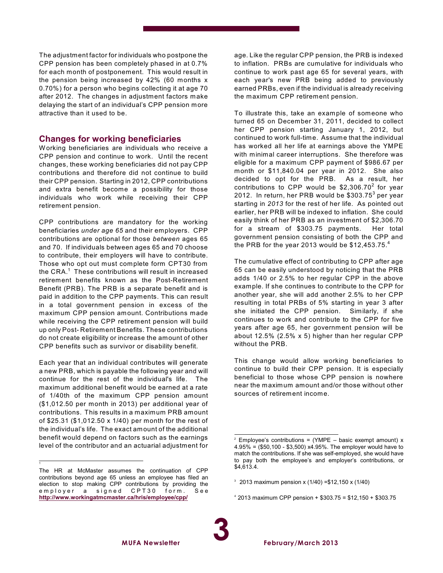The adjustment factor for individuals who postpone the CPP pension has been completely phased in at 0.7% for each month of postponement. This would result in the pension being increased by 42% (60 months x 0.70%) for a person who begins collecting it at age 70 after 2012. The changes in adjustment factors make delaying the start of an individual's CPP pension more attractive than it used to be.

#### **Changes for working beneficiaries**

W orking beneficiaries are individuals who receive a CPP pension and continue to work. Until the recent changes, these working beneficiaries did not pay CPP contributions and therefore did not continue to build their CPP pension. Starting in 2012, CPP contributions and extra benefit become a possibility for those individuals who work while receiving their CPP retirement pension.

CPP contributions are mandatory for the working beneficiaries *under age 65* and their employers. CPP contributions are optional for those *between* ages 65 and 70. If individuals between ages 65 and 70 choose to contribute, their employers will have to contribute. Those who opt out must complete form CPT30 from the CRA. $^\mathrm{1}\,$  These contributions will result in increased retirement benefits known as the Post-Retirement Benefit (PRB). The PRB is a separate benefit and is paid in addition to the CPP payments. This can result in a total government pension in excess of the maximum CPP pension amount. Contributions made while receiving the CPP retirement pension will build up only Post- Retirement Benefits. These contributions do not create eligibility or increase the amount of other CPP benefits such as survivor or disability benefit.

Each year that an individual contributes will generate a new PRB, which is payable the following year and will continue for the rest of the individual's life. The maximum additional benefit would be earned at a rate of 1/40th of the maximum CPP pension amount (\$1,012.50 per month in 2013) per additional year of contributions. This results in a maximum PRB amount of \$25.31 (\$1,012.50 x 1/40) per month for the rest of the individual's life. The exact amount of the additional benefit would depend on factors such as the earnings level of the contributor and an actuarial adjustment for

**MUFA Newsletter**

1

age. Like the regular CPP pension, the PRB is indexed to inflation. PRBs are cumulative for individuals who continue to work past age 65 for several years, with each year's new PRB being added to previously earned PRBs, even if the individual is already receiving the maximum CPP retirement pension.

To illustrate this, take an example of someone who turned 65 on December 31, 2011, decided to collect her CPP pension starting January 1, 2012, but continued to work full-time. Assume that the individual has worked all her life at earnings above the YMPE with minimal career interruptions. She therefore was eligible for a maximum CPP payment of \$986.67 per month or \$11,840.04 per year in 2012. She also decided to opt for the PRB. As a result, her contributions to CPP would be  $$2,306.70^2$  for year 2012. In return, her PRB would be  $\$303.75^3$  per year starting in *2013* for the rest of her life. As pointed out earlier, her PRB will be indexed to inflation. She could easily think of her PRB as an investment of \$2,306.70 for a stream of \$303.75 payments. Her total government pension consisting of both the CPP and the PRB for the year 2013 would be  $$12,453.75.^4$ 

The cumulative effect of contributing to CPP after age 65 can be easily understood by noticing that the PRB adds 1/40 or 2.5% to her regular CPP in the above example. If she continues to contribute to the CPP for another year, she will add another 2.5% to her CPP resulting in total PRBs of 5% starting in year 3 after she initiated the CPP pension. Similarly, if she continues to work and contribute to the CPP for five years after age 65, her government pension will be about 12.5% (2.5% x 5) higher than her regular CPP without the PRB.

This change would allow working beneficiaries to continue to build their CPP pension. It is especially beneficial to those whose CPP pension is nowhere near the maximum amount and/or those without other sources of retirement income.

 $4$  2013 maximum CPP pension + \$303.75 = \$12,150 + \$303.75

The HR at McMaster assumes the continuation of CPP contributions beyond age 65 unless an employee has filed an election to stop making CPP contributions by providing the employer a signed CPT30 form. See **<http://www.workingatmcmaster.ca/hris/employee/cpp/>**

 $2$  Employee's contributions = (YMPE – basic exempt amount) x 4.95% = (\$50,100 - \$3,500) x4.95%. The employer would have to match the contributions. If she was self-employed, she would have to pay both the employee's and employer's contributions, or \$4,613.4.

 $3$  2013 maximum pension x (1/40) = \$12,150 x (1/40)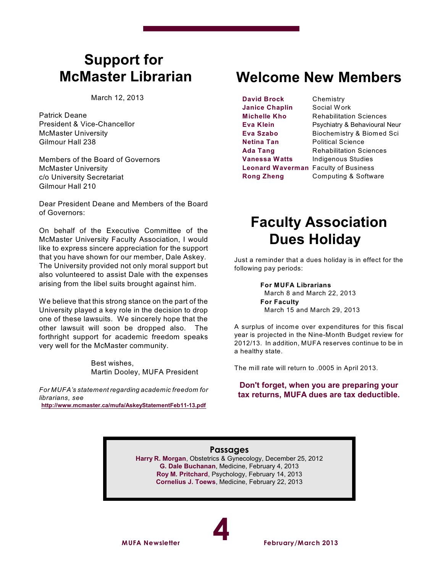## **Support for McMaster Librarian**

March 12, 2013

Patrick Deane President & Vice-Chancellor McMaster University Gilmour Hall 238

Members of the Board of Governors McMaster University c/o University Secretariat Gilmour Hall 210

Dear President Deane and Members of the Board of Governors:

On behalf of the Executive Committee of the McMaster University Faculty Association, I would like to express sincere appreciation for the support that you have shown for our member, Dale Askey. The University provided not only moral support but also volunteered to assist Dale with the expenses arising from the libel suits brought against him.

We believe that this strong stance on the part of the University played a key role in the decision to drop one of these lawsuits. We sincerely hope that the other lawsuit will soon be dropped also. The forthright support for academic freedom speaks very well for the McMaster community.

> Best wishes, Martin Dooley, MUFA President

*For MUFA's statement regarding academic freedom for librarians, see* **<http://www.mcmaster.ca/mufa/AskeyStatementFeb11-13.pdf>**

## **Welcome New Members**

**David Brock** Chemistry **Janice Chaplin** Social Work **Netina Tan** Political Science

**Michelle Kho** Rehabilitation Sciences **Eva Klein** Psychiatry & Behavioural Neur **Eva Szabo** Biochemistry & Biomed Sci **Ada Tang** Rehabilitation Sciences **Vanessa Watts** Indigenous Studies **Leonard Waverman** Faculty of Business **Rong Zheng** Computing & Software

## **Faculty Association Dues Holiday**

Just a reminder that a dues holiday is in effect for the following pay periods:

#### **For MUFA Librarians**

March 8 and March 22, 2013 **For Faculty** March 15 and March 29, 2013

A surplus of income over expenditures for this fiscal year is projected in the Nine-Month Budget review for 2012/13. In addition, MUFA reserves continue to be in a healthy state.

The mill rate will return to .0005 in April 2013.

**Don't forget, when you are preparing your tax returns, MUFA dues are tax deductible.**

## **Passages**

**Harry R. Morgan**, Obstetrics & Gynecology, December 25, 2012 **G. Dale Buchanan**, Medicine, February 4, 2013 **Roy M. Pritchard**, Psychology, February 14, 2013 **Cornelius J. Toews**, Medicine, February 22, 2013

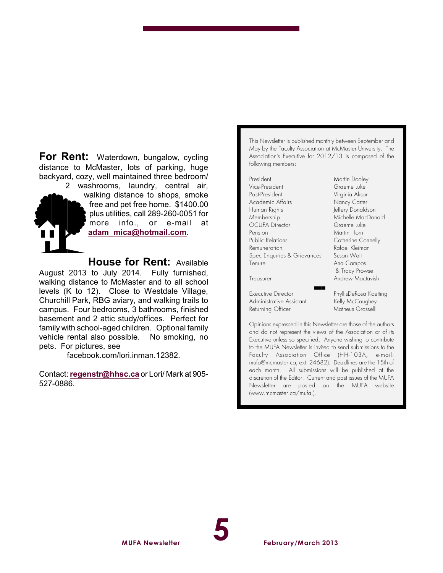For Rent: Waterdown, bungalow, cycling distance to McMaster, lots of parking, huge backyard, cozy, well maintained three bedroom/

2 washrooms, laundry, central air, walking distance to shops, smoke free and pet free home. \$1400.00 plus utilities, call 289-260-0051 for more info., or e-mail at **[adam\\_mica@hotmail.com](mailto:adam_mica@hotmail.com)**.

**House for Rent:** Available August 2013 to July 2014. Fully furnished, walking distance to McMaster and to all school levels (K to 12). Close to Westdale Village, Churchill Park, RBG aviary, and walking trails to campus. Four bedrooms, 3 bathrooms, finished basement and 2 attic study/offices. Perfect for family with school-aged children. Optional family vehicle rental also possible. No smoking, no pets. For pictures, see

facebook.com/lori.inman.12382.

Contact:**[regenstr@hhsc.ca](mailto:regenstr@hhsc.ca)** or Lori/ Mark at 905- 527-0886.

This Newsletter is published monthly between September and May by the Faculty Association at McMaster University. The Association's Executive for 2012/13 is composed of the following members:

President Martin Dooley<br>Vice-President Martin Graeme Luke Past-President Virginia Aksan Academic Affairs Nancy Carter Human Rights **Jeffery** Donaldson Membership Michelle MacDonald OCUFA Director Graeme Luke Pension Martin Horn Public Relations Catherine Connelly Remuneration Rafael Kleiman Spec Enquiries & Grievances Susan Watt Tenure **Ana Campos** 

Executive Director **PhyllisDeRosa Koetting** Administrative Assistant Kelly McCaughey Returning Officer Matheus Grasselli

Graeme Luke & Tracy Prowse Treasurer **Andrew Mactavish** 

Opinions expressed in this Newsletter are those of the authors and do not represent the views of the Association or of its Executive unless so specified. Anyone wishing to contribute to the MUFA *Newsletter* is invited to send submissions to the Faculty Association Office (HH-103A, e-mail: mufa@mcmaster.ca, ext. 24682). Deadlines are the 15th of each month. All submissions will be published at the discretion of the Editor. Current and past issues of the MUFA *Newsletter* are posted on the MUFA website (www.mcmaster.ca/mufa.).

(((

**5**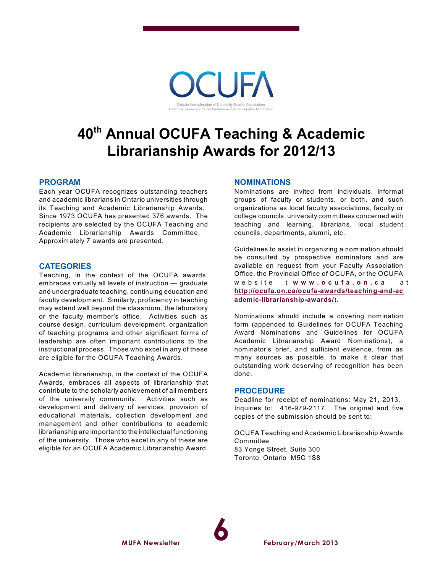

## **40 Annual OCUFA Teaching & Academic th Librarianship Awards for 2012/13**

#### **PROGRAM**

Each year OCUFA recognizes outstanding teachers and academic librarians in Ontario universities through its Teaching and Academic Librarianship Awards. Since 1973 OCUFA has presented 376 awards. The recipients are selected by the OCUFA Teaching and Academic Librarianship Awards Committee. Approximately 7 awards are presented.

#### **CATEGORIES**

Teaching, in the context of the OCUFA awards, embraces virtually all levels of instruction — graduate and undergraduate teaching, continuing education and faculty development. Similarly, proficiency in teaching may extend well beyond the classroom, the laboratory or the faculty member's office. Activities such as course design, curriculum development, organization of teaching programs and other significant forms of leadership are often important contributions to the instructional process. Those who excel in any of these are eligible for the OCUFA Teaching Awards.

Academic librarianship, in the context of the OCUFA Awards, embraces all aspects of librarianship that contribute to the scholarly achievement of all members of the university community. Activities such as development and delivery of services, provision of educational materials, collection development and management and other contributions to academic librarianship are important to the intellectual functioning of the university. Those who excel in any of these are eligible for an OCUFA Academic Librarianship Award.

**MUFA Newsletter**

#### **NOMINATIONS**

Nominations are invited from individuals, informal groups of faculty or students, or both, and such organizations as local faculty associations, faculty or college councils, university committees concerned with teaching and learning, librarians, local student councils, departments, alumni, etc.

Guidelines to assist in organizing a nomination should be consulted by prospective nominators and are available on request from your Faculty Association Office, the Provincial Office of OCUFA, or the OCUFA w e b s i t e ( **[w](http://www.ocufa.on.ca) w w . o c u f a . o n . c a** a t **[http://ocufa.on.ca/ocufa-awards/teaching-and-ac](http://ocufa.on.ca/ocufa-awards/teaching-and-academic-librarianship-awards/) [ademic-librarianship-awards/](http://ocufa.on.ca/ocufa-awards/teaching-and-academic-librarianship-awards/)**).

Nominations should include a covering nomination form (appended to Guidelines for OCUFA Teaching Award Nominations and Guidelines for OCUFA Academic Librarianship Award Nominations), a nominator's brief, and sufficient evidence, from as many sources as possible, to make it clear that outstanding work deserving of recognition has been done.

#### **PROCEDURE**

Deadline for receipt of nominations: May 21, 2013. Inquiries to: 416-979-2117. The original and five copies of the submission should be sent to:

OCUFA Teaching and Academic Librarianship Awards **Committee** 83 Yonge Street, Suite 300 Toronto, Ontario M5C 1S8